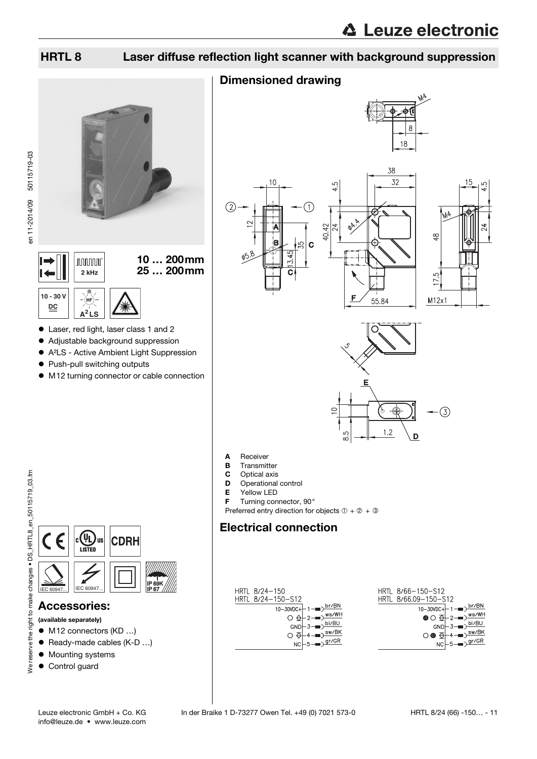## HRTL 8 Laser diffuse reflection light scanner with background suppression

### Dimensioned drawing









- **B** Transmitter
- C Optical axis
- D Operational control
- 
- **E** Yellow LED<br>**F** Turning con Turning connector, 90°

Preferred entry direction for objects  $① + ② + ③$ 

### Electrical connection

<span id="page-0-0"></span>

to make changes • DS HRTL8 en 50115719 03.fm We reserve the right to make changes • DS\_HRTL8\_en\_50115719\_03.fm right We reserve the



 Laser, red light, laser class 1 and 2 Adjustable background suppression A²LS - Active Ambient Light Suppression

 $\bullet$  M12 turning connector or cable connection

10 … 200mm

2 kHz **25 ... 200 mm** 

● Push-pull switching outputs

**A<sup>2</sup> LS**

(hf

**nnnnn** 

**10 - 30 V DC**

en 11-2014/09 50115719-03

en 11-2014/09 50115719-03

### Accessories:

(available separately)

- M12 connectors (KD ...)
- Ready-made cables (K-D ...)
- $\bullet$  Mounting systems
- Control guard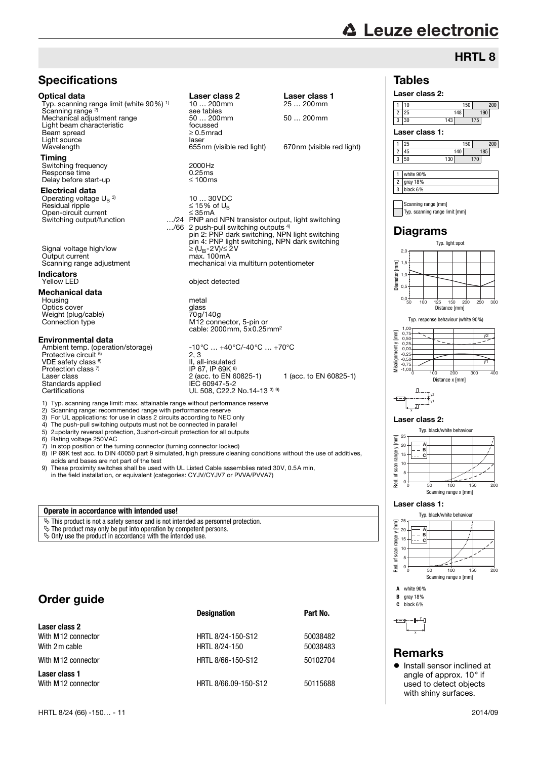# **∆ Leuze electronic**

## HRTL 8

#### Tables



2 25 148 190 3 30 143 175

1 25 150 200

Laser class 1:



#### **Operate in accordance with intended use!**

- $\&$  This product is not a safety sensor and is not intended as personnel protection.
- $\&$  The product may only be put into operation by competent persons.
- $\frac{1}{2}$  Only use the product in accordance with the intended use.

### Order guide

Scanning range<sup>2)</sup>

Electrical data

Beam spread

Timing

**Indicators**<br>Yellow LED

Mechanical data

Protective circuit

VDE safety class <sup>6)</sup>

Protection class 7)<br>Laser class

Standards applied<br>Certifications

|                                     | <b>Designation</b>   | Part No. |
|-------------------------------------|----------------------|----------|
| Laser class 2                       |                      |          |
| With M12 connector                  | HRTL 8/24-150-S12    | 50038482 |
| With 2 m cable                      | HRTL 8/24-150        | 50038483 |
| With M12 connector                  | HRTL 8/66-150-S12    | 50102704 |
| Laser class 1<br>With M12 connector | HRTL 8/66.09-150-S12 | 50115688 |





y1



#### Laser class 2:



#### Laser class 1:





y J. x

#### Remarks

**•** Install sensor inclined at angle of approx. 10° if used to detect objects with shiny surfaces.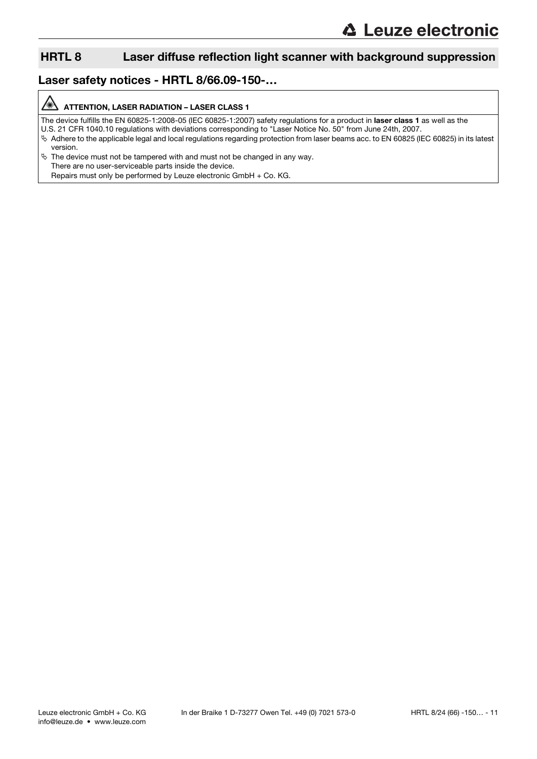### HRTL 8 Laser diffuse reflection light scanner with background suppression

### Laser safety notices - HRTL 8/66.09-150-…

#### A ATTENTION, LASER RADIATION – LASER CLASS 1

The device fulfills the EN 60825-1:2008-05 (IEC 60825-1:2007) safety regulations for a product in laser class 1 as well as the

U.S. 21 CFR 1040.10 regulations with deviations corresponding to "Laser Notice No. 50" from June 24th, 2007.

- Adhere to the applicable legal and local regulations regarding protection from laser beams acc. to EN 60825 (IEC 60825) in its latest version.
- $\ddot{\phi}$  The device must not be tampered with and must not be changed in any way. There are no user-serviceable parts inside the device. Repairs must only be performed by Leuze electronic GmbH + Co. KG.